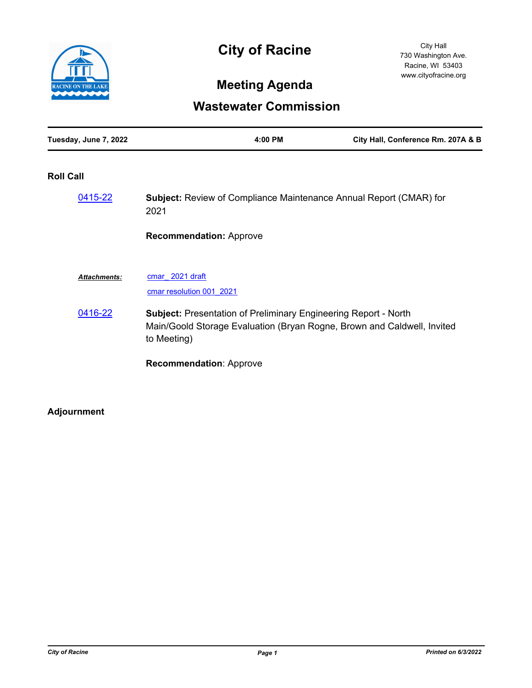

# **City of Racine**

City Hall 730 Washington Ave. Racine, WI 53403 www.cityofracine.org

## **Meeting Agenda**

### **Wastewater Commission**

| Tuesday, June 7, 2022 | 4:00 PM | City Hall, Conference Rm. 207A & B |
|-----------------------|---------|------------------------------------|
|                       |         |                                    |

#### **Roll Call**

| 0415-22             | <b>Subject:</b> Review of Compliance Maintenance Annual Report (CMAR) for<br>2021                                                                                |
|---------------------|------------------------------------------------------------------------------------------------------------------------------------------------------------------|
|                     | <b>Recommendation: Approve</b>                                                                                                                                   |
| <b>Attachments:</b> | cmar 2021 draft<br>cmar resolution 001 2021                                                                                                                      |
| 0416-22             | <b>Subject: Presentation of Preliminary Engineering Report - North</b><br>Main/Goold Storage Evaluation (Bryan Rogne, Brown and Caldwell, Invited<br>to Meeting) |
|                     | <b>Recommendation: Approve</b>                                                                                                                                   |

### **Adjournment**